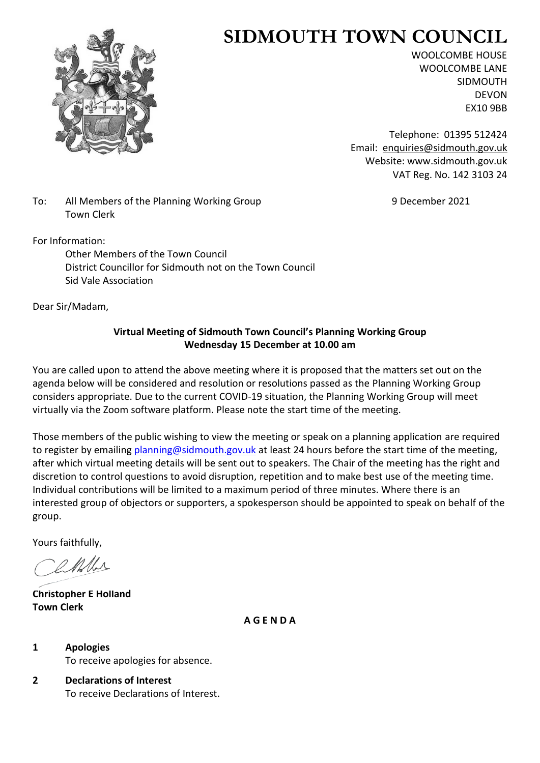

# **SIDMOUTH TOWN COUNCIL**

WOOLCOMBE HOUSE WOOLCOMBE LANE SIDMOUTH DEVON EX10 9BB

Telephone: 01395 512424 Email: [enquiries@sidmouth.gov.uk](mailto:enquiries@sidmouth.gov.uk) Website: www.sidmouth.gov.uk VAT Reg. No. 142 3103 24

To: All Members of the Planning Working Group 9 December 2021 Town Clerk

For Information:

Other Members of the Town Council District Councillor for Sidmouth not on the Town Council Sid Vale Association

Dear Sir/Madam,

# **Virtual Meeting of Sidmouth Town Council's Planning Working Group Wednesday 15 December at 10.00 am**

You are called upon to attend the above meeting where it is proposed that the matters set out on the agenda below will be considered and resolution or resolutions passed as the Planning Working Group considers appropriate. Due to the current COVID-19 situation, the Planning Working Group will meet virtually via the Zoom software platform. Please note the start time of the meeting.

Those members of the public wishing to view the meeting or speak on a planning application are required to register by emailing [planning@sidmouth.gov.uk](mailto:planning@sidmouth.gov.uk) at least 24 hours before the start time of the meeting, after which virtual meeting details will be sent out to speakers. The Chair of the meeting has the right and discretion to control questions to avoid disruption, repetition and to make best use of the meeting time. Individual contributions will be limited to a maximum period of three minutes. Where there is an interested group of objectors or supporters, a spokesperson should be appointed to speak on behalf of the group.

Yours faithfully,

D MALA

**Christopher E Holland Town Clerk**

**A G E N D A**

**1 Apologies** To receive apologies for absence.

**2 Declarations of Interest** To receive Declarations of Interest.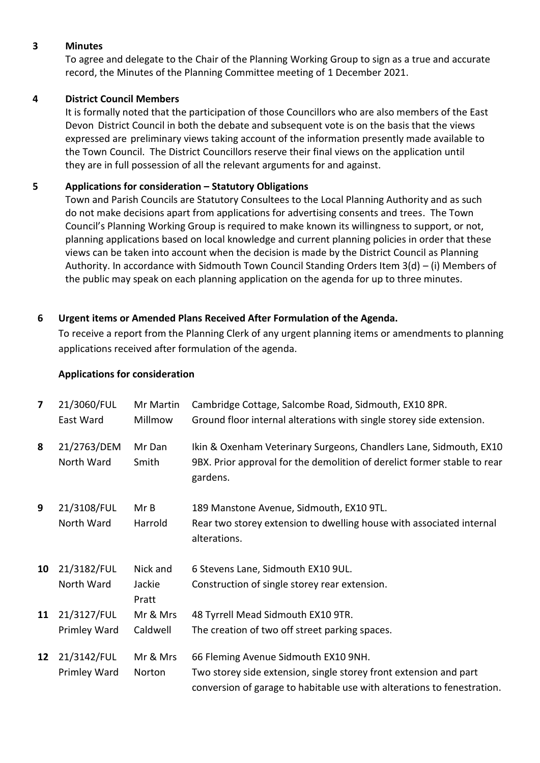## **3 Minutes**

To agree and delegate to the Chair of the Planning Working Group to sign as a true and accurate record, the Minutes of the Planning Committee meeting of 1 December 2021.

#### **4 District Council Members**

It is formally noted that the participation of those Councillors who are also members of the East Devon District Council in both the debate and subsequent vote is on the basis that the views expressed are preliminary views taking account of the information presently made available to the Town Council. The District Councillors reserve their final views on the application until they are in full possession of all the relevant arguments for and against.

#### **5 Applications for consideration – Statutory Obligations**

Town and Parish Councils are Statutory Consultees to the Local Planning Authority and as such do not make decisions apart from applications for advertising consents and trees. The Town Council's Planning Working Group is required to make known its willingness to support, or not, planning applications based on local knowledge and current planning policies in order that these views can be taken into account when the decision is made by the District Council as Planning Authority. In accordance with Sidmouth Town Council Standing Orders Item  $3(d) - (i)$  Members of the public may speak on each planning application on the agenda for up to three minutes.

#### **6 Urgent items or Amended Plans Received After Formulation of the Agenda.**

To receive a report from the Planning Clerk of any urgent planning items or amendments to planning applications received after formulation of the agenda.

#### **Applications for consideration**

| 7               | 21/3060/FUL<br>East Ward    | Mr Martin<br>Millmow        | Cambridge Cottage, Salcombe Road, Sidmouth, EX10 8PR.<br>Ground floor internal alterations with single storey side extension.                                                        |
|-----------------|-----------------------------|-----------------------------|--------------------------------------------------------------------------------------------------------------------------------------------------------------------------------------|
| 8               | 21/2763/DEM<br>North Ward   | Mr Dan<br>Smith             | Ikin & Oxenham Veterinary Surgeons, Chandlers Lane, Sidmouth, EX10<br>9BX. Prior approval for the demolition of derelict former stable to rear<br>gardens.                           |
| 9               | 21/3108/FUL<br>North Ward   | MrB<br>Harrold              | 189 Manstone Avenue, Sidmouth, EX10 9TL.<br>Rear two storey extension to dwelling house with associated internal<br>alterations.                                                     |
| 10              | 21/3182/FUL<br>North Ward   | Nick and<br>Jackie<br>Pratt | 6 Stevens Lane, Sidmouth EX10 9UL.<br>Construction of single storey rear extension.                                                                                                  |
| 11              | 21/3127/FUL<br>Primley Ward | Mr & Mrs<br>Caldwell        | 48 Tyrrell Mead Sidmouth EX10 9TR.<br>The creation of two off street parking spaces.                                                                                                 |
| 12 <sup>2</sup> | 21/3142/FUL<br>Primley Ward | Mr & Mrs<br>Norton          | 66 Fleming Avenue Sidmouth EX10 9NH.<br>Two storey side extension, single storey front extension and part<br>conversion of garage to habitable use with alterations to fenestration. |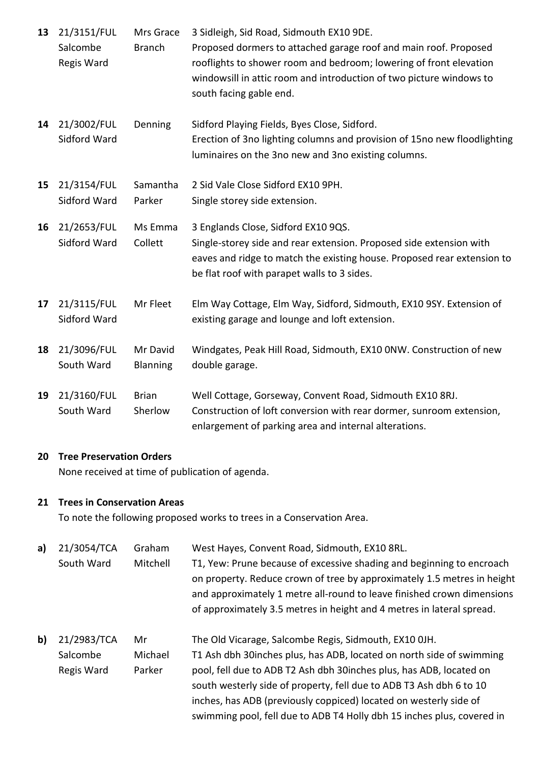| 13 | 21/3151/FUL<br>Salcombe<br>Regis Ward | Mrs Grace<br><b>Branch</b>  | 3 Sidleigh, Sid Road, Sidmouth EX10 9DE.<br>Proposed dormers to attached garage roof and main roof. Proposed<br>rooflights to shower room and bedroom; lowering of front elevation<br>windowsill in attic room and introduction of two picture windows to<br>south facing gable end. |
|----|---------------------------------------|-----------------------------|--------------------------------------------------------------------------------------------------------------------------------------------------------------------------------------------------------------------------------------------------------------------------------------|
| 14 | 21/3002/FUL<br>Sidford Ward           | Denning                     | Sidford Playing Fields, Byes Close, Sidford.<br>Erection of 3no lighting columns and provision of 15no new floodlighting<br>luminaires on the 3no new and 3no existing columns.                                                                                                      |
| 15 | 21/3154/FUL<br>Sidford Ward           | Samantha<br>Parker          | 2 Sid Vale Close Sidford EX10 9PH.<br>Single storey side extension.                                                                                                                                                                                                                  |
| 16 | 21/2653/FUL<br>Sidford Ward           | Ms Emma<br>Collett          | 3 Englands Close, Sidford EX10 9QS.<br>Single-storey side and rear extension. Proposed side extension with<br>eaves and ridge to match the existing house. Proposed rear extension to<br>be flat roof with parapet walls to 3 sides.                                                 |
| 17 | 21/3115/FUL<br>Sidford Ward           | Mr Fleet                    | Elm Way Cottage, Elm Way, Sidford, Sidmouth, EX10 9SY. Extension of<br>existing garage and lounge and loft extension.                                                                                                                                                                |
| 18 | 21/3096/FUL<br>South Ward             | Mr David<br><b>Blanning</b> | Windgates, Peak Hill Road, Sidmouth, EX10 ONW. Construction of new<br>double garage.                                                                                                                                                                                                 |
| 19 | 21/3160/FUL<br>South Ward             | <b>Brian</b><br>Sherlow     | Well Cottage, Gorseway, Convent Road, Sidmouth EX10 8RJ.<br>Construction of loft conversion with rear dormer, sunroom extension,<br>enlargement of parking area and internal alterations.                                                                                            |

## **20 Tree Preservation Orders**

None received at time of publication of agenda.

## **21 Trees in Conservation Areas**

To note the following proposed works to trees in a Conservation Area.

| a)           | 21/3054/TCA | Graham   | West Hayes, Convent Road, Sidmouth, EX10 8RL.                           |
|--------------|-------------|----------|-------------------------------------------------------------------------|
|              | South Ward  | Mitchell | T1, Yew: Prune because of excessive shading and beginning to encroach   |
|              |             |          | on property. Reduce crown of tree by approximately 1.5 metres in height |
|              |             |          | and approximately 1 metre all-round to leave finished crown dimensions  |
|              |             |          | of approximately 3.5 metres in height and 4 metres in lateral spread.   |
| $\mathbf{b}$ | 21/2983/TCA | Mr       | The Old Vicarage, Salcombe Regis, Sidmouth, EX10 OJH.                   |
|              | Salcombe    | Michael  | T1 Ash dbh 30 inches plus, has ADB, located on north side of swimming   |
|              | Regis Ward  | Parker   | pool, fell due to ADB T2 Ash dbh 30 inches plus, has ADB, located on    |
|              |             |          | south westerly side of property, fell due to ADB T3 Ash dbh 6 to 10     |
|              |             |          | inches, has ADB (previously coppiced) located on westerly side of       |
|              |             |          | swimming pool, fell due to ADB T4 Holly dbh 15 inches plus, covered in  |